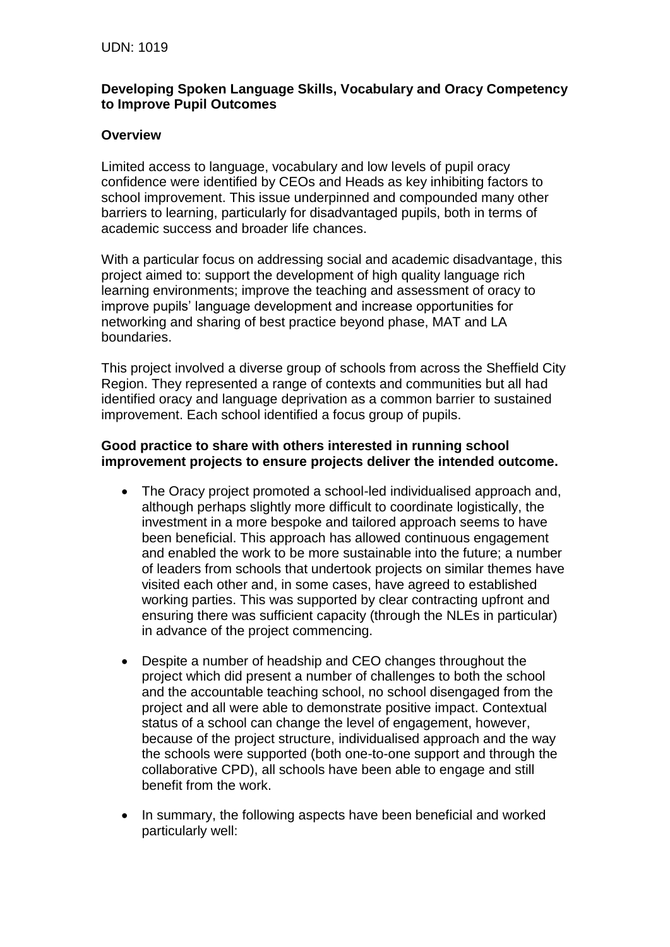## **Developing Spoken Language Skills, Vocabulary and Oracy Competency to Improve Pupil Outcomes**

# **Overview**

Limited access to language, vocabulary and low levels of pupil oracy confidence were identified by CEOs and Heads as key inhibiting factors to school improvement. This issue underpinned and compounded many other barriers to learning, particularly for disadvantaged pupils, both in terms of academic success and broader life chances.

With a particular focus on addressing social and academic disadvantage, this project aimed to: support the development of high quality language rich learning environments; improve the teaching and assessment of oracy to improve pupils' language development and increase opportunities for networking and sharing of best practice beyond phase, MAT and LA boundaries.

This project involved a diverse group of schools from across the Sheffield City Region. They represented a range of contexts and communities but all had identified oracy and language deprivation as a common barrier to sustained improvement. Each school identified a focus group of pupils.

### **Good practice to share with others interested in running school improvement projects to ensure projects deliver the intended outcome.**

- The Oracy project promoted a school-led individualised approach and, although perhaps slightly more difficult to coordinate logistically, the investment in a more bespoke and tailored approach seems to have been beneficial. This approach has allowed continuous engagement and enabled the work to be more sustainable into the future; a number of leaders from schools that undertook projects on similar themes have visited each other and, in some cases, have agreed to established working parties. This was supported by clear contracting upfront and ensuring there was sufficient capacity (through the NLEs in particular) in advance of the project commencing.
- Despite a number of headship and CEO changes throughout the project which did present a number of challenges to both the school and the accountable teaching school, no school disengaged from the project and all were able to demonstrate positive impact. Contextual status of a school can change the level of engagement, however, because of the project structure, individualised approach and the way the schools were supported (both one-to-one support and through the collaborative CPD), all schools have been able to engage and still benefit from the work.
- In summary, the following aspects have been beneficial and worked particularly well: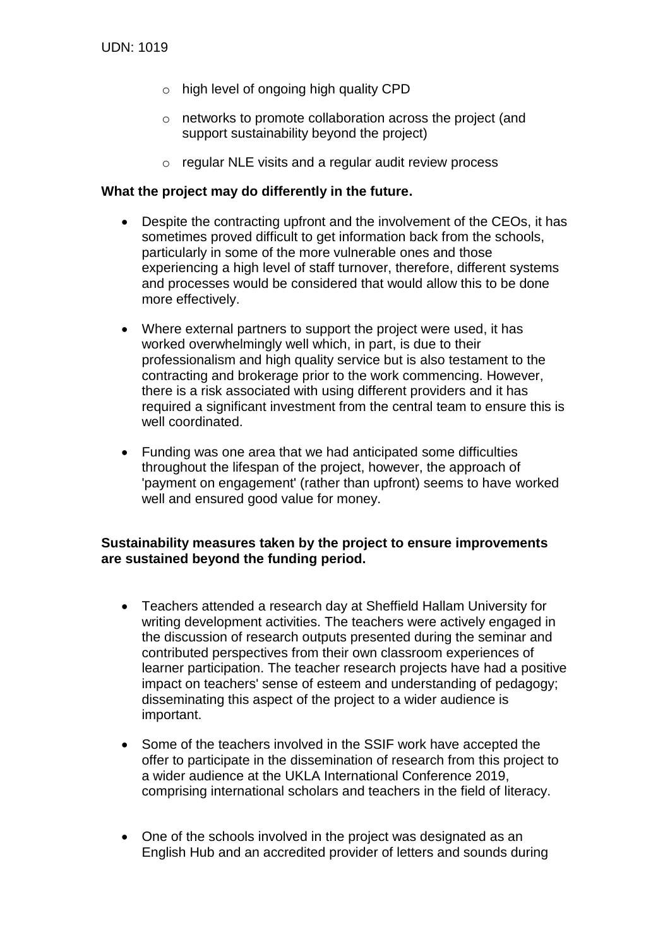- o high level of ongoing high quality CPD
- o networks to promote collaboration across the project (and support sustainability beyond the project)
- o regular NLE visits and a regular audit review process

#### **What the project may do differently in the future.**

- Despite the contracting upfront and the involvement of the CEOs, it has sometimes proved difficult to get information back from the schools, particularly in some of the more vulnerable ones and those experiencing a high level of staff turnover, therefore, different systems and processes would be considered that would allow this to be done more effectively.
- Where external partners to support the project were used, it has worked overwhelmingly well which, in part, is due to their professionalism and high quality service but is also testament to the contracting and brokerage prior to the work commencing. However, there is a risk associated with using different providers and it has required a significant investment from the central team to ensure this is well coordinated.
- Funding was one area that we had anticipated some difficulties throughout the lifespan of the project, however, the approach of 'payment on engagement' (rather than upfront) seems to have worked well and ensured good value for money.

### **Sustainability measures taken by the project to ensure improvements are sustained beyond the funding period.**

- Teachers attended a research day at Sheffield Hallam University for writing development activities. The teachers were actively engaged in the discussion of research outputs presented during the seminar and contributed perspectives from their own classroom experiences of learner participation. The teacher research projects have had a positive impact on teachers' sense of esteem and understanding of pedagogy; disseminating this aspect of the project to a wider audience is important.
- Some of the teachers involved in the SSIF work have accepted the offer to participate in the dissemination of research from this project to a wider audience at the UKLA International Conference 2019, comprising international scholars and teachers in the field of literacy.
- One of the schools involved in the project was designated as an English Hub and an accredited provider of letters and sounds during